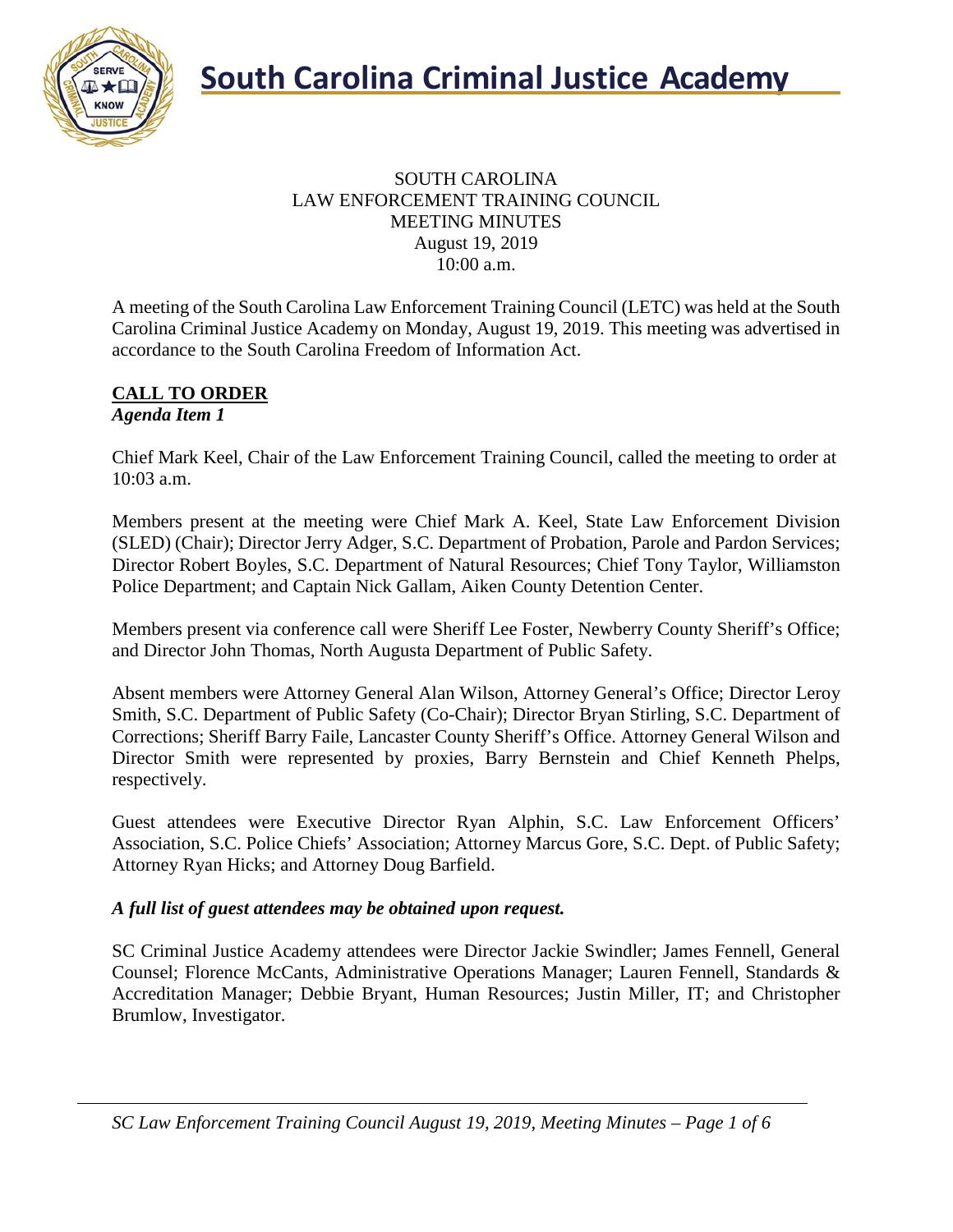

#### SOUTH CAROLINA LAW ENFORCEMENT TRAINING COUNCIL MEETING MINUTES August 19, 2019 10:00 a.m.

A meeting of the South Carolina Law Enforcement Training Council (LETC) was held at the South Carolina Criminal Justice Academy on Monday, August 19, 2019. This meeting was advertised in accordance to the South Carolina Freedom of Information Act.

#### **CALL TO ORDER** *Agenda Item 1*

Chief Mark Keel, Chair of the Law Enforcement Training Council, called the meeting to order at 10:03 a.m.

Members present at the meeting were Chief Mark A. Keel, State Law Enforcement Division (SLED) (Chair); Director Jerry Adger, S.C. Department of Probation, Parole and Pardon Services; Director Robert Boyles, S.C. Department of Natural Resources; Chief Tony Taylor, Williamston Police Department; and Captain Nick Gallam, Aiken County Detention Center.

Members present via conference call were Sheriff Lee Foster, Newberry County Sheriff's Office; and Director John Thomas, North Augusta Department of Public Safety.

Absent members were Attorney General Alan Wilson, Attorney General's Office; Director Leroy Smith, S.C. Department of Public Safety (Co-Chair); Director Bryan Stirling, S.C. Department of Corrections; Sheriff Barry Faile, Lancaster County Sheriff's Office. Attorney General Wilson and Director Smith were represented by proxies, Barry Bernstein and Chief Kenneth Phelps, respectively.

Guest attendees were Executive Director Ryan Alphin, S.C. Law Enforcement Officers' Association, S.C. Police Chiefs' Association; Attorney Marcus Gore, S.C. Dept. of Public Safety; Attorney Ryan Hicks; and Attorney Doug Barfield.

## *A full list of guest attendees may be obtained upon request.*

SC Criminal Justice Academy attendees were Director Jackie Swindler; James Fennell, General Counsel; Florence McCants, Administrative Operations Manager; Lauren Fennell, Standards & Accreditation Manager; Debbie Bryant, Human Resources; Justin Miller, IT; and Christopher Brumlow, Investigator.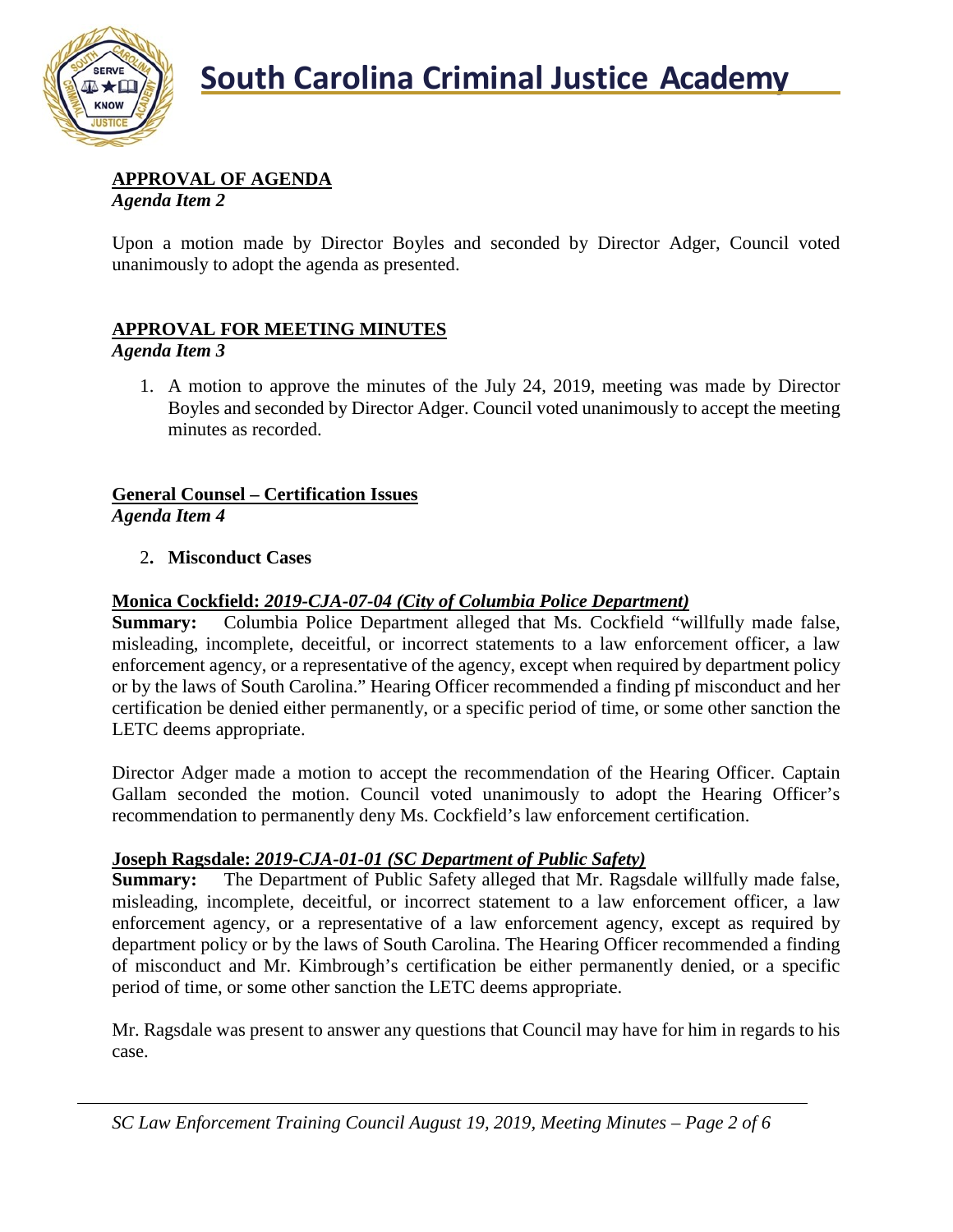

## **APPROVAL OF AGENDA**

*Agenda Item 2*

Upon a motion made by Director Boyles and seconded by Director Adger, Council voted unanimously to adopt the agenda as presented.

## **APPROVAL FOR MEETING MINUTES**

*Agenda Item 3*

1. A motion to approve the minutes of the July 24, 2019, meeting was made by Director Boyles and seconded by Director Adger. Council voted unanimously to accept the meeting minutes as recorded.

## **General Counsel – Certification Issues** *Agenda Item 4*

## 2**. Misconduct Cases**

#### **Monica Cockfield:** *2019-CJA-07-04 (City of Columbia Police Department)*

**Summary:** Columbia Police Department alleged that Ms. Cockfield "willfully made false, misleading, incomplete, deceitful, or incorrect statements to a law enforcement officer, a law enforcement agency, or a representative of the agency, except when required by department policy or by the laws of South Carolina." Hearing Officer recommended a finding pf misconduct and her certification be denied either permanently, or a specific period of time, or some other sanction the LETC deems appropriate.

Director Adger made a motion to accept the recommendation of the Hearing Officer. Captain Gallam seconded the motion. Council voted unanimously to adopt the Hearing Officer's recommendation to permanently deny Ms. Cockfield's law enforcement certification.

## **Joseph Ragsdale:** *2019-CJA-01-01 (SC Department of Public Safety)*

**Summary:** The Department of Public Safety alleged that Mr. Ragsdale willfully made false, misleading, incomplete, deceitful, or incorrect statement to a law enforcement officer, a law enforcement agency, or a representative of a law enforcement agency, except as required by department policy or by the laws of South Carolina. The Hearing Officer recommended a finding of misconduct and Mr. Kimbrough's certification be either permanently denied, or a specific period of time, or some other sanction the LETC deems appropriate.

Mr. Ragsdale was present to answer any questions that Council may have for him in regards to his case.

*SC Law Enforcement Training Council August 19, 2019, Meeting Minutes – Page 2 of 6*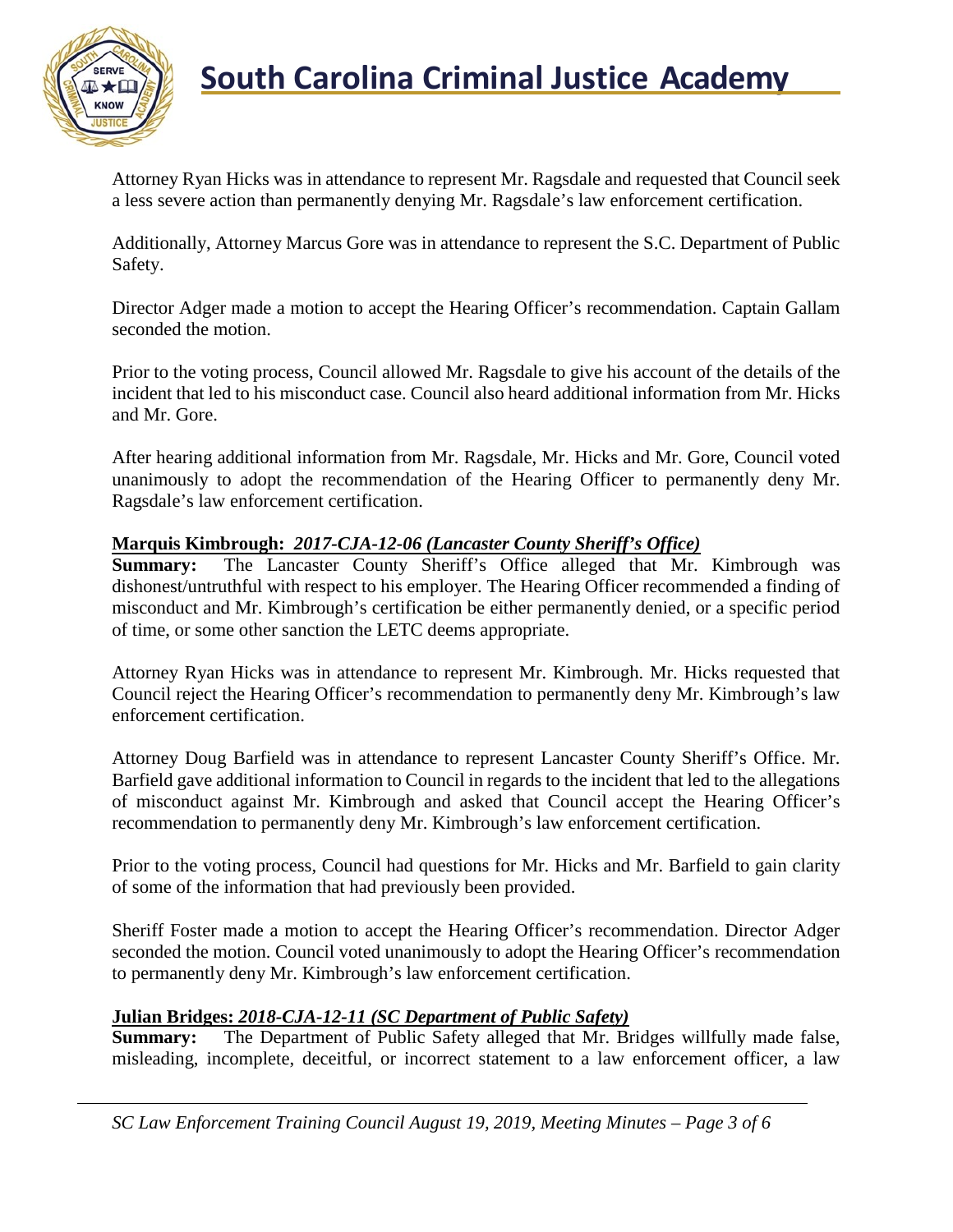

# **South Carolina Criminal Justice Academy**<br>KNOW

Attorney Ryan Hicks was in attendance to represent Mr. Ragsdale and requested that Council seek a less severe action than permanently denying Mr. Ragsdale's law enforcement certification.

Additionally, Attorney Marcus Gore was in attendance to represent the S.C. Department of Public Safety.

Director Adger made a motion to accept the Hearing Officer's recommendation. Captain Gallam seconded the motion.

Prior to the voting process, Council allowed Mr. Ragsdale to give his account of the details of the incident that led to his misconduct case. Council also heard additional information from Mr. Hicks and Mr. Gore.

After hearing additional information from Mr. Ragsdale, Mr. Hicks and Mr. Gore, Council voted unanimously to adopt the recommendation of the Hearing Officer to permanently deny Mr. Ragsdale's law enforcement certification.

#### **Marquis Kimbrough:** *2017-CJA-12-06 (Lancaster County Sheriff's Office)*

**Summary:** The Lancaster County Sheriff's Office alleged that Mr. Kimbrough was dishonest/untruthful with respect to his employer. The Hearing Officer recommended a finding of misconduct and Mr. Kimbrough's certification be either permanently denied, or a specific period of time, or some other sanction the LETC deems appropriate.

Attorney Ryan Hicks was in attendance to represent Mr. Kimbrough. Mr. Hicks requested that Council reject the Hearing Officer's recommendation to permanently deny Mr. Kimbrough's law enforcement certification.

Attorney Doug Barfield was in attendance to represent Lancaster County Sheriff's Office. Mr. Barfield gave additional information to Council in regards to the incident that led to the allegations of misconduct against Mr. Kimbrough and asked that Council accept the Hearing Officer's recommendation to permanently deny Mr. Kimbrough's law enforcement certification.

Prior to the voting process, Council had questions for Mr. Hicks and Mr. Barfield to gain clarity of some of the information that had previously been provided.

Sheriff Foster made a motion to accept the Hearing Officer's recommendation. Director Adger seconded the motion. Council voted unanimously to adopt the Hearing Officer's recommendation to permanently deny Mr. Kimbrough's law enforcement certification.

#### **Julian Bridges:** *2018-CJA-12-11 (SC Department of Public Safety)*

**Summary:** The Department of Public Safety alleged that Mr. Bridges willfully made false, misleading, incomplete, deceitful, or incorrect statement to a law enforcement officer, a law

*SC Law Enforcement Training Council August 19, 2019, Meeting Minutes – Page 3 of 6*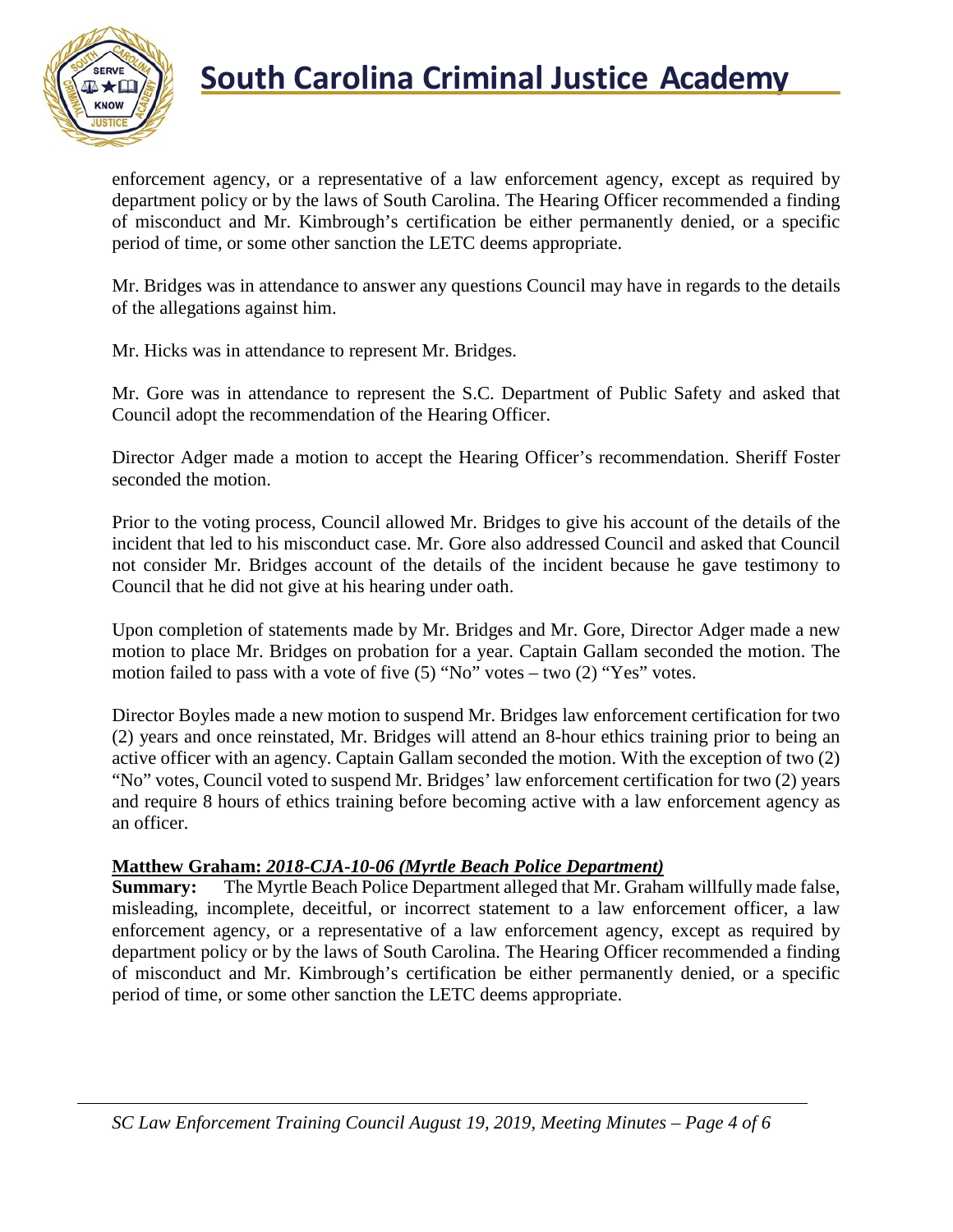

# **South Carolina Criminal Justice Academy**<br>KNOW

enforcement agency, or a representative of a law enforcement agency, except as required by department policy or by the laws of South Carolina. The Hearing Officer recommended a finding of misconduct and Mr. Kimbrough's certification be either permanently denied, or a specific period of time, or some other sanction the LETC deems appropriate.

Mr. Bridges was in attendance to answer any questions Council may have in regards to the details of the allegations against him.

Mr. Hicks was in attendance to represent Mr. Bridges.

Mr. Gore was in attendance to represent the S.C. Department of Public Safety and asked that Council adopt the recommendation of the Hearing Officer.

Director Adger made a motion to accept the Hearing Officer's recommendation. Sheriff Foster seconded the motion.

Prior to the voting process, Council allowed Mr. Bridges to give his account of the details of the incident that led to his misconduct case. Mr. Gore also addressed Council and asked that Council not consider Mr. Bridges account of the details of the incident because he gave testimony to Council that he did not give at his hearing under oath.

Upon completion of statements made by Mr. Bridges and Mr. Gore, Director Adger made a new motion to place Mr. Bridges on probation for a year. Captain Gallam seconded the motion. The motion failed to pass with a vote of five  $(5)$  "No" votes – two  $(2)$  "Yes" votes.

Director Boyles made a new motion to suspend Mr. Bridges law enforcement certification for two (2) years and once reinstated, Mr. Bridges will attend an 8-hour ethics training prior to being an active officer with an agency. Captain Gallam seconded the motion. With the exception of two (2) "No" votes, Council voted to suspend Mr. Bridges' law enforcement certification for two (2) years and require 8 hours of ethics training before becoming active with a law enforcement agency as an officer.

## **Matthew Graham:** *2018-CJA-10-06 (Myrtle Beach Police Department)*

**Summary:** The Myrtle Beach Police Department alleged that Mr. Graham willfully made false, misleading, incomplete, deceitful, or incorrect statement to a law enforcement officer, a law enforcement agency, or a representative of a law enforcement agency, except as required by department policy or by the laws of South Carolina. The Hearing Officer recommended a finding of misconduct and Mr. Kimbrough's certification be either permanently denied, or a specific period of time, or some other sanction the LETC deems appropriate.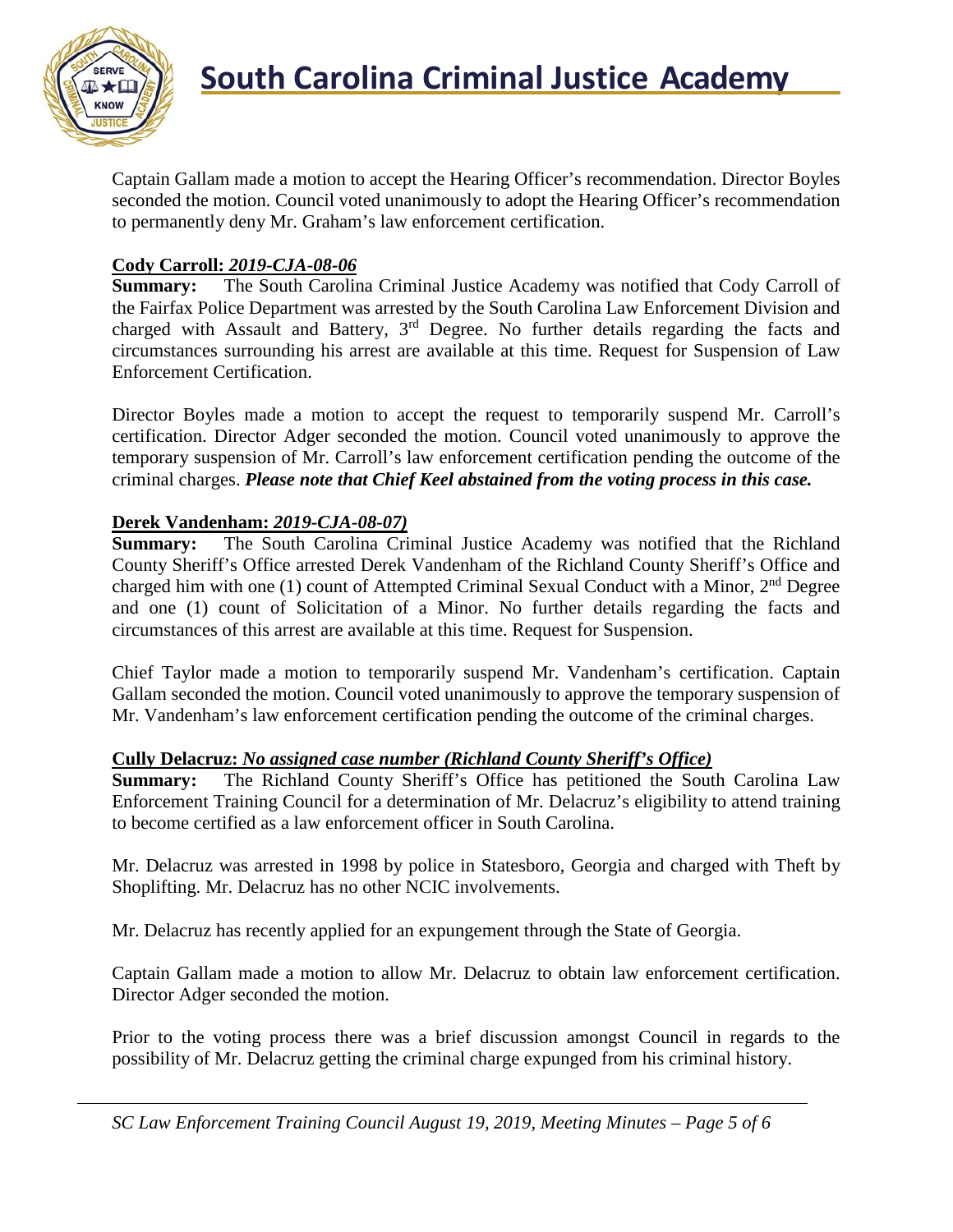

Captain Gallam made a motion to accept the Hearing Officer's recommendation. Director Boyles seconded the motion. Council voted unanimously to adopt the Hearing Officer's recommendation to permanently deny Mr. Graham's law enforcement certification.

## **Cody Carroll:** *2019-CJA-08-06*

**Summary:** The South Carolina Criminal Justice Academy was notified that Cody Carroll of the Fairfax Police Department was arrested by the South Carolina Law Enforcement Division and charged with Assault and Battery,  $3<sup>rd</sup>$  Degree. No further details regarding the facts and circumstances surrounding his arrest are available at this time. Request for Suspension of Law Enforcement Certification.

Director Boyles made a motion to accept the request to temporarily suspend Mr. Carroll's certification. Director Adger seconded the motion. Council voted unanimously to approve the temporary suspension of Mr. Carroll's law enforcement certification pending the outcome of the criminal charges. *Please note that Chief Keel abstained from the voting process in this case.*

## **Derek Vandenham:** *2019-CJA-08-07)*

**Summary:** The South Carolina Criminal Justice Academy was notified that the Richland County Sheriff's Office arrested Derek Vandenham of the Richland County Sheriff's Office and charged him with one (1) count of Attempted Criminal Sexual Conduct with a Minor,  $2<sup>nd</sup>$  Degree and one (1) count of Solicitation of a Minor. No further details regarding the facts and circumstances of this arrest are available at this time. Request for Suspension.

Chief Taylor made a motion to temporarily suspend Mr. Vandenham's certification. Captain Gallam seconded the motion. Council voted unanimously to approve the temporary suspension of Mr. Vandenham's law enforcement certification pending the outcome of the criminal charges.

## **Cully Delacruz:** *No assigned case number (Richland County Sheriff's Office)*

**Summary:** The Richland County Sheriff's Office has petitioned the South Carolina Law Enforcement Training Council for a determination of Mr. Delacruz's eligibility to attend training to become certified as a law enforcement officer in South Carolina.

Mr. Delacruz was arrested in 1998 by police in Statesboro, Georgia and charged with Theft by Shoplifting. Mr. Delacruz has no other NCIC involvements.

Mr. Delacruz has recently applied for an expungement through the State of Georgia.

Captain Gallam made a motion to allow Mr. Delacruz to obtain law enforcement certification. Director Adger seconded the motion.

Prior to the voting process there was a brief discussion amongst Council in regards to the possibility of Mr. Delacruz getting the criminal charge expunged from his criminal history.